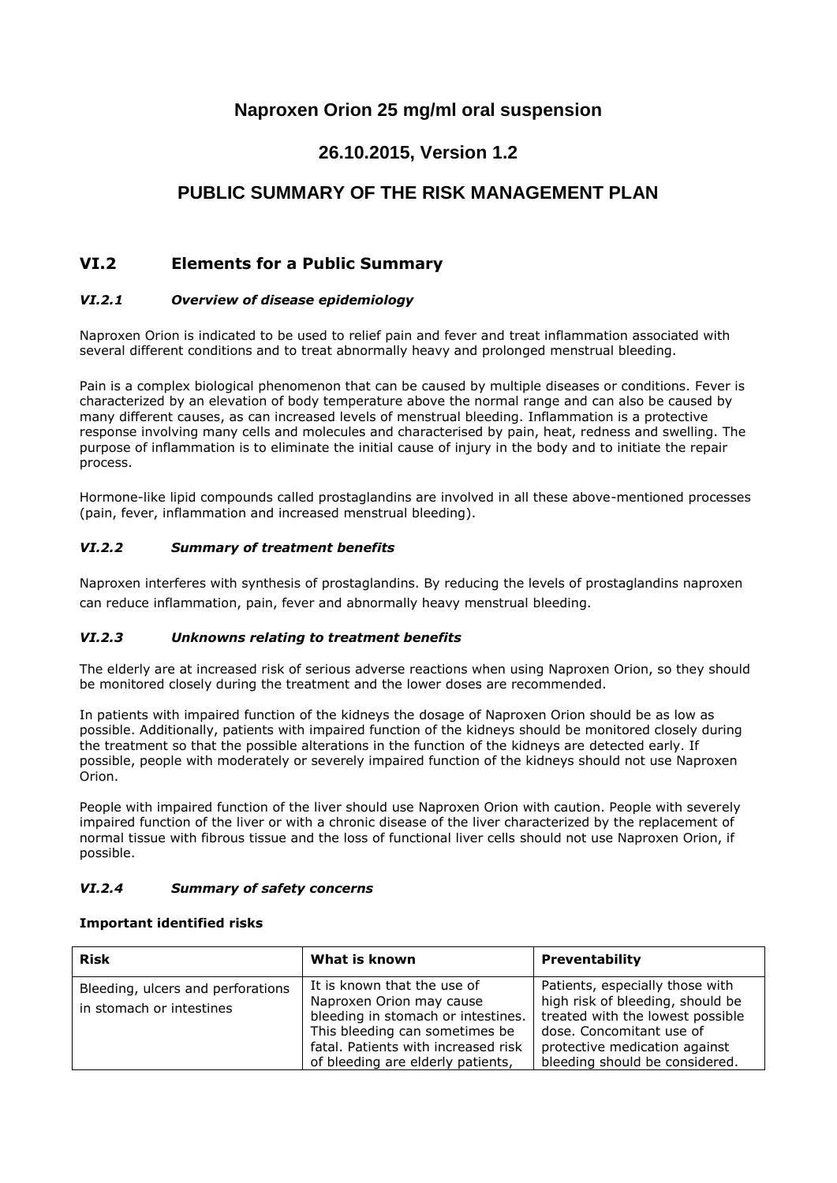# **Naproxen Orion 25 mg/ml oral suspension**

# **26.10.2015, Version 1.2**

# **PUBLIC SUMMARY OF THE RISK MANAGEMENT PLAN**

## **VI.2 Elements for a Public Summary**

### *VI.2.1 Overview of disease epidemiology*

Naproxen Orion is indicated to be used to relief pain and fever and treat inflammation associated with several different conditions and to treat abnormally heavy and prolonged menstrual bleeding.

Pain is a complex biological phenomenon that can be caused by multiple diseases or conditions. Fever is characterized by an elevation of body temperature above the normal range and can also be caused by many different causes, as can increased levels of menstrual bleeding. Inflammation is a protective response involving many cells and molecules and characterised by pain, heat, redness and swelling. The purpose of inflammation is to eliminate the initial cause of injury in the body and to initiate the repair process.

Hormone-like lipid compounds called prostaglandins are involved in all these above-mentioned processes (pain, fever, inflammation and increased menstrual bleeding).

#### *VI.2.2 Summary of treatment benefits*

Naproxen interferes with synthesis of prostaglandins. By reducing the levels of prostaglandins naproxen can reduce inflammation, pain, fever and abnormally heavy menstrual bleeding.

#### *VI.2.3 Unknowns relating to treatment benefits*

The elderly are at increased risk of serious adverse reactions when using Naproxen Orion, so they should be monitored closely during the treatment and the lower doses are recommended.

In patients with impaired function of the kidneys the dosage of Naproxen Orion should be as low as possible. Additionally, patients with impaired function of the kidneys should be monitored closely during the treatment so that the possible alterations in the function of the kidneys are detected early. If possible, people with moderately or severely impaired function of the kidneys should not use Naproxen Orion.

People with impaired function of the liver should use Naproxen Orion with caution. People with severely impaired function of the liver or with a chronic disease of the liver characterized by the replacement of normal tissue with fibrous tissue and the loss of functional liver cells should not use Naproxen Orion, if possible.

#### *VI.2.4 Summary of safety concerns*

#### **Important identified risks**

| <b>Risk</b>                                                   | What is known                                                                                                                                                                                               | <b>Preventability</b>                                                                                                                                                                                  |
|---------------------------------------------------------------|-------------------------------------------------------------------------------------------------------------------------------------------------------------------------------------------------------------|--------------------------------------------------------------------------------------------------------------------------------------------------------------------------------------------------------|
| Bleeding, ulcers and perforations<br>in stomach or intestines | It is known that the use of<br>Naproxen Orion may cause<br>bleeding in stomach or intestines.<br>This bleeding can sometimes be<br>fatal. Patients with increased risk<br>of bleeding are elderly patients, | Patients, especially those with<br>high risk of bleeding, should be<br>treated with the lowest possible<br>dose. Concomitant use of<br>protective medication against<br>bleeding should be considered. |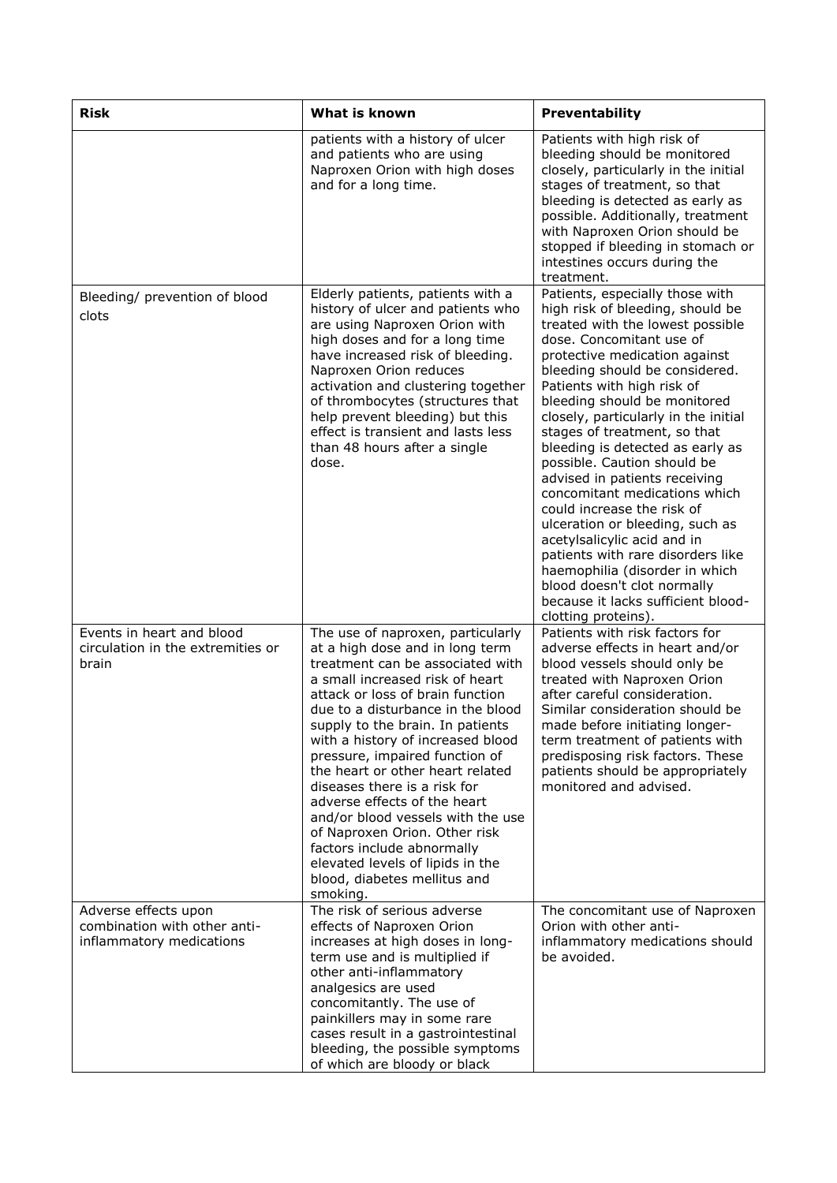| <b>Risk</b>                                                                      | What is known                                                                                                                                                                                                                                                                                                                                                                                                                                                                                                                                                                                                           | Preventability                                                                                                                                                                                                                                                                                                                                                                                                                                                                                                                                                                                                                                                                                                                                       |
|----------------------------------------------------------------------------------|-------------------------------------------------------------------------------------------------------------------------------------------------------------------------------------------------------------------------------------------------------------------------------------------------------------------------------------------------------------------------------------------------------------------------------------------------------------------------------------------------------------------------------------------------------------------------------------------------------------------------|------------------------------------------------------------------------------------------------------------------------------------------------------------------------------------------------------------------------------------------------------------------------------------------------------------------------------------------------------------------------------------------------------------------------------------------------------------------------------------------------------------------------------------------------------------------------------------------------------------------------------------------------------------------------------------------------------------------------------------------------------|
|                                                                                  | patients with a history of ulcer<br>and patients who are using<br>Naproxen Orion with high doses<br>and for a long time.                                                                                                                                                                                                                                                                                                                                                                                                                                                                                                | Patients with high risk of<br>bleeding should be monitored<br>closely, particularly in the initial<br>stages of treatment, so that<br>bleeding is detected as early as<br>possible. Additionally, treatment<br>with Naproxen Orion should be<br>stopped if bleeding in stomach or<br>intestines occurs during the<br>treatment.                                                                                                                                                                                                                                                                                                                                                                                                                      |
| Bleeding/ prevention of blood<br>clots                                           | Elderly patients, patients with a<br>history of ulcer and patients who<br>are using Naproxen Orion with<br>high doses and for a long time<br>have increased risk of bleeding.<br>Naproxen Orion reduces<br>activation and clustering together<br>of thrombocytes (structures that<br>help prevent bleeding) but this<br>effect is transient and lasts less<br>than 48 hours after a single<br>dose.                                                                                                                                                                                                                     | Patients, especially those with<br>high risk of bleeding, should be<br>treated with the lowest possible<br>dose. Concomitant use of<br>protective medication against<br>bleeding should be considered.<br>Patients with high risk of<br>bleeding should be monitored<br>closely, particularly in the initial<br>stages of treatment, so that<br>bleeding is detected as early as<br>possible. Caution should be<br>advised in patients receiving<br>concomitant medications which<br>could increase the risk of<br>ulceration or bleeding, such as<br>acetylsalicylic acid and in<br>patients with rare disorders like<br>haemophilia (disorder in which<br>blood doesn't clot normally<br>because it lacks sufficient blood-<br>clotting proteins). |
| Events in heart and blood<br>circulation in the extremities or<br>brain          | The use of naproxen, particularly<br>at a high dose and in long term<br>treatment can be associated with<br>a small increased risk of heart<br>attack or loss of brain function<br>due to a disturbance in the blood<br>supply to the brain. In patients<br>with a history of increased blood<br>pressure, impaired function of<br>the heart or other heart related<br>diseases there is a risk for<br>adverse effects of the heart<br>and/or blood vessels with the use<br>of Naproxen Orion. Other risk<br>factors include abnormally<br>elevated levels of lipids in the<br>blood, diabetes mellitus and<br>smoking. | Patients with risk factors for<br>adverse effects in heart and/or<br>blood vessels should only be<br>treated with Naproxen Orion<br>after careful consideration.<br>Similar consideration should be<br>made before initiating longer-<br>term treatment of patients with<br>predisposing risk factors. These<br>patients should be appropriately<br>monitored and advised.                                                                                                                                                                                                                                                                                                                                                                           |
| Adverse effects upon<br>combination with other anti-<br>inflammatory medications | The risk of serious adverse<br>effects of Naproxen Orion<br>increases at high doses in long-<br>term use and is multiplied if<br>other anti-inflammatory<br>analgesics are used<br>concomitantly. The use of<br>painkillers may in some rare<br>cases result in a gastrointestinal<br>bleeding, the possible symptoms<br>of which are bloody or black                                                                                                                                                                                                                                                                   | The concomitant use of Naproxen<br>Orion with other anti-<br>inflammatory medications should<br>be avoided.                                                                                                                                                                                                                                                                                                                                                                                                                                                                                                                                                                                                                                          |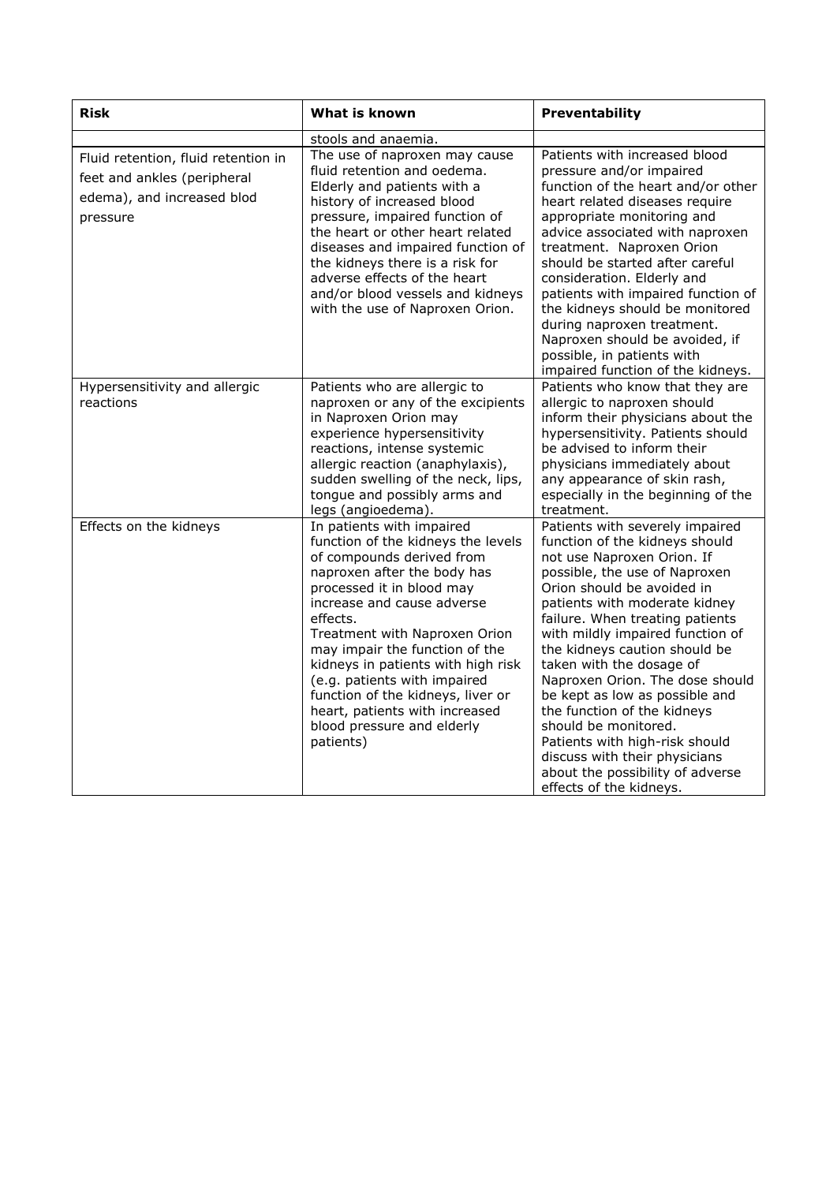| <b>Risk</b>                                                                                                  | What is known                                                                                                                                                                                                                                                                                                                                                                                                                                                 | Preventability                                                                                                                                                                                                                                                                                                                                                                                                                                                                                                                                                                                    |
|--------------------------------------------------------------------------------------------------------------|---------------------------------------------------------------------------------------------------------------------------------------------------------------------------------------------------------------------------------------------------------------------------------------------------------------------------------------------------------------------------------------------------------------------------------------------------------------|---------------------------------------------------------------------------------------------------------------------------------------------------------------------------------------------------------------------------------------------------------------------------------------------------------------------------------------------------------------------------------------------------------------------------------------------------------------------------------------------------------------------------------------------------------------------------------------------------|
|                                                                                                              | stools and anaemia.                                                                                                                                                                                                                                                                                                                                                                                                                                           |                                                                                                                                                                                                                                                                                                                                                                                                                                                                                                                                                                                                   |
| Fluid retention, fluid retention in<br>feet and ankles (peripheral<br>edema), and increased blod<br>pressure | The use of naproxen may cause<br>fluid retention and oedema.<br>Elderly and patients with a<br>history of increased blood<br>pressure, impaired function of<br>the heart or other heart related<br>diseases and impaired function of<br>the kidneys there is a risk for<br>adverse effects of the heart<br>and/or blood vessels and kidneys<br>with the use of Naproxen Orion.                                                                                | Patients with increased blood<br>pressure and/or impaired<br>function of the heart and/or other<br>heart related diseases require<br>appropriate monitoring and<br>advice associated with naproxen<br>treatment. Naproxen Orion<br>should be started after careful<br>consideration. Elderly and<br>patients with impaired function of<br>the kidneys should be monitored<br>during naproxen treatment.<br>Naproxen should be avoided, if<br>possible, in patients with<br>impaired function of the kidneys.                                                                                      |
| Hypersensitivity and allergic<br>reactions                                                                   | Patients who are allergic to<br>naproxen or any of the excipients<br>in Naproxen Orion may<br>experience hypersensitivity<br>reactions, intense systemic<br>allergic reaction (anaphylaxis),<br>sudden swelling of the neck, lips,<br>tongue and possibly arms and<br>legs (angioedema).                                                                                                                                                                      | Patients who know that they are<br>allergic to naproxen should<br>inform their physicians about the<br>hypersensitivity. Patients should<br>be advised to inform their<br>physicians immediately about<br>any appearance of skin rash,<br>especially in the beginning of the<br>treatment.                                                                                                                                                                                                                                                                                                        |
| Effects on the kidneys                                                                                       | In patients with impaired<br>function of the kidneys the levels<br>of compounds derived from<br>naproxen after the body has<br>processed it in blood may<br>increase and cause adverse<br>effects.<br>Treatment with Naproxen Orion<br>may impair the function of the<br>kidneys in patients with high risk<br>(e.g. patients with impaired<br>function of the kidneys, liver or<br>heart, patients with increased<br>blood pressure and elderly<br>patients) | Patients with severely impaired<br>function of the kidneys should<br>not use Naproxen Orion. If<br>possible, the use of Naproxen<br>Orion should be avoided in<br>patients with moderate kidney<br>failure. When treating patients<br>with mildly impaired function of<br>the kidneys caution should be<br>taken with the dosage of<br>Naproxen Orion. The dose should<br>be kept as low as possible and<br>the function of the kidneys<br>should be monitored.<br>Patients with high-risk should<br>discuss with their physicians<br>about the possibility of adverse<br>effects of the kidneys. |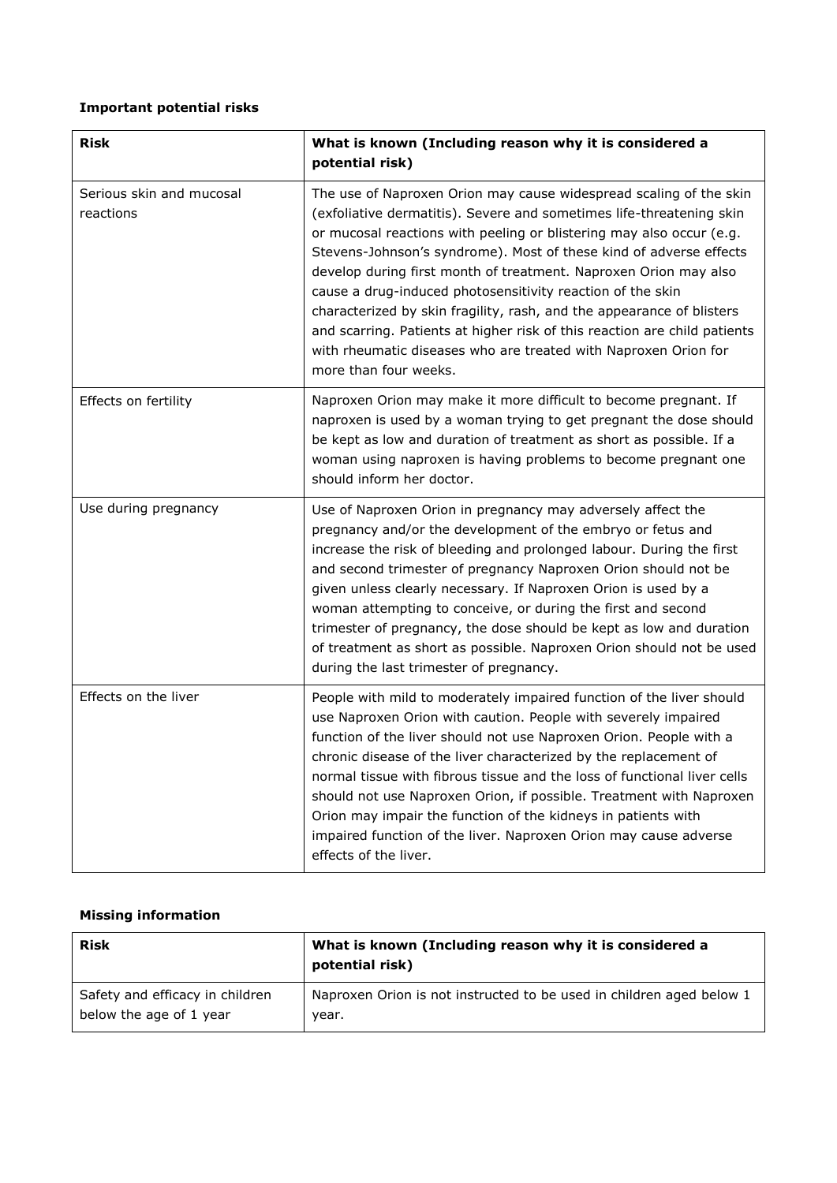### **Important potential risks**

| <b>Risk</b>                           | What is known (Including reason why it is considered a<br>potential risk)                                                                                                                                                                                                                                                                                                                                                                                                                                                                                                                                                                                                    |
|---------------------------------------|------------------------------------------------------------------------------------------------------------------------------------------------------------------------------------------------------------------------------------------------------------------------------------------------------------------------------------------------------------------------------------------------------------------------------------------------------------------------------------------------------------------------------------------------------------------------------------------------------------------------------------------------------------------------------|
| Serious skin and mucosal<br>reactions | The use of Naproxen Orion may cause widespread scaling of the skin<br>(exfoliative dermatitis). Severe and sometimes life-threatening skin<br>or mucosal reactions with peeling or blistering may also occur (e.g.<br>Stevens-Johnson's syndrome). Most of these kind of adverse effects<br>develop during first month of treatment. Naproxen Orion may also<br>cause a drug-induced photosensitivity reaction of the skin<br>characterized by skin fragility, rash, and the appearance of blisters<br>and scarring. Patients at higher risk of this reaction are child patients<br>with rheumatic diseases who are treated with Naproxen Orion for<br>more than four weeks. |
| Effects on fertility                  | Naproxen Orion may make it more difficult to become pregnant. If<br>naproxen is used by a woman trying to get pregnant the dose should<br>be kept as low and duration of treatment as short as possible. If a<br>woman using naproxen is having problems to become pregnant one<br>should inform her doctor.                                                                                                                                                                                                                                                                                                                                                                 |
| Use during pregnancy                  | Use of Naproxen Orion in pregnancy may adversely affect the<br>pregnancy and/or the development of the embryo or fetus and<br>increase the risk of bleeding and prolonged labour. During the first<br>and second trimester of pregnancy Naproxen Orion should not be<br>given unless clearly necessary. If Naproxen Orion is used by a<br>woman attempting to conceive, or during the first and second<br>trimester of pregnancy, the dose should be kept as low and duration<br>of treatment as short as possible. Naproxen Orion should not be used<br>during the last trimester of pregnancy.                                                                             |
| Effects on the liver                  | People with mild to moderately impaired function of the liver should<br>use Naproxen Orion with caution. People with severely impaired<br>function of the liver should not use Naproxen Orion. People with a<br>chronic disease of the liver characterized by the replacement of<br>normal tissue with fibrous tissue and the loss of functional liver cells<br>should not use Naproxen Orion, if possible. Treatment with Naproxen<br>Orion may impair the function of the kidneys in patients with<br>impaired function of the liver. Naproxen Orion may cause adverse<br>effects of the liver.                                                                            |

## **Missing information**

| <b>Risk</b>                     | What is known (Including reason why it is considered a<br>potential risk) |
|---------------------------------|---------------------------------------------------------------------------|
| Safety and efficacy in children | Naproxen Orion is not instructed to be used in children aged below 1      |
| below the age of 1 year         | vear.                                                                     |